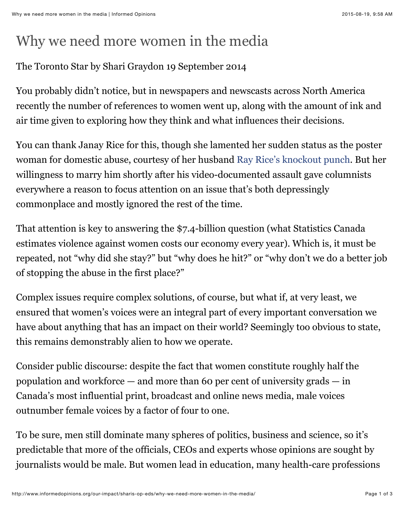## Why we need more women in the media

## The Toronto Star by Shari Graydon 19 September 2014

You probably didn't notice, but in newspapers and newscasts across North America recently the number of references to women went up, along with the amount of ink and air time given to exploring how they think and what influences their decisions.

You can thank Janay Rice for this, though she lamented her sudden status as the poster woman for domestic abuse, courtesy of her husband [Ray Rice's knockout punch.](http://www.thestar.com/sports/football/2014/09/08/ray_rice_caught_on_video_punching_wife.html) But her willingness to marry him shortly after his video-documented assault gave columnists everywhere a reason to focus attention on an issue that's both depressingly commonplace and mostly ignored the rest of the time.

That attention is key to answering the \$7.4-billion question (what Statistics Canada estimates violence against women costs our economy every year). Which is, it must be repeated, not "why did she stay?" but "why does he hit?" or "why don't we do a better job of stopping the abuse in the first place?"

Complex issues require complex solutions, of course, but what if, at very least, we ensured that women's voices were an integral part of every important conversation we have about anything that has an impact on their world? Seemingly too obvious to state, this remains demonstrably alien to how we operate.

Consider public discourse: despite the fact that women constitute roughly half the population and workforce — and more than 60 per cent of university grads — in Canada's most influential print, broadcast and online news media, male voices outnumber female voices by a factor of four to one.

To be sure, men still dominate many spheres of politics, business and science, so it's predictable that more of the officials, CEOs and experts whose opinions are sought by journalists would be male. But women lead in education, many health-care professions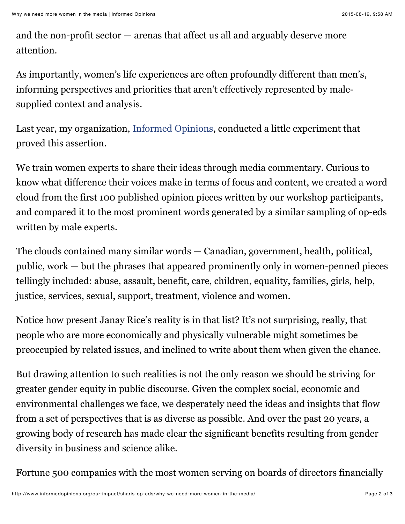and the non-profit sector — arenas that affect us all and arguably deserve more attention.

As importantly, women's life experiences are often profoundly different than men's, informing perspectives and priorities that aren't effectively represented by malesupplied context and analysis.

Last year, my organization, [Informed Opinions,](http://www.informedopinions.org/) conducted a little experiment that proved this assertion.

We train women experts to share their ideas through media commentary. Curious to know what difference their voices make in terms of focus and content, we created a word cloud from the first 100 published opinion pieces written by our workshop participants, and compared it to the most prominent words generated by a similar sampling of op-eds written by male experts.

The clouds contained many similar words — Canadian, government, health, political, public, work — but the phrases that appeared prominently only in women-penned pieces tellingly included: abuse, assault, benefit, care, children, equality, families, girls, help, justice, services, sexual, support, treatment, violence and women.

Notice how present Janay Rice's reality is in that list? It's not surprising, really, that people who are more economically and physically vulnerable might sometimes be preoccupied by related issues, and inclined to write about them when given the chance.

But drawing attention to such realities is not the only reason we should be striving for greater gender equity in public discourse. Given the complex social, economic and environmental challenges we face, we desperately need the ideas and insights that flow from a set of perspectives that is as diverse as possible. And over the past 20 years, a growing body of research has made clear the significant benefits resulting from gender diversity in business and science alike.

Fortune 500 companies with the most women serving on boards of directors financially